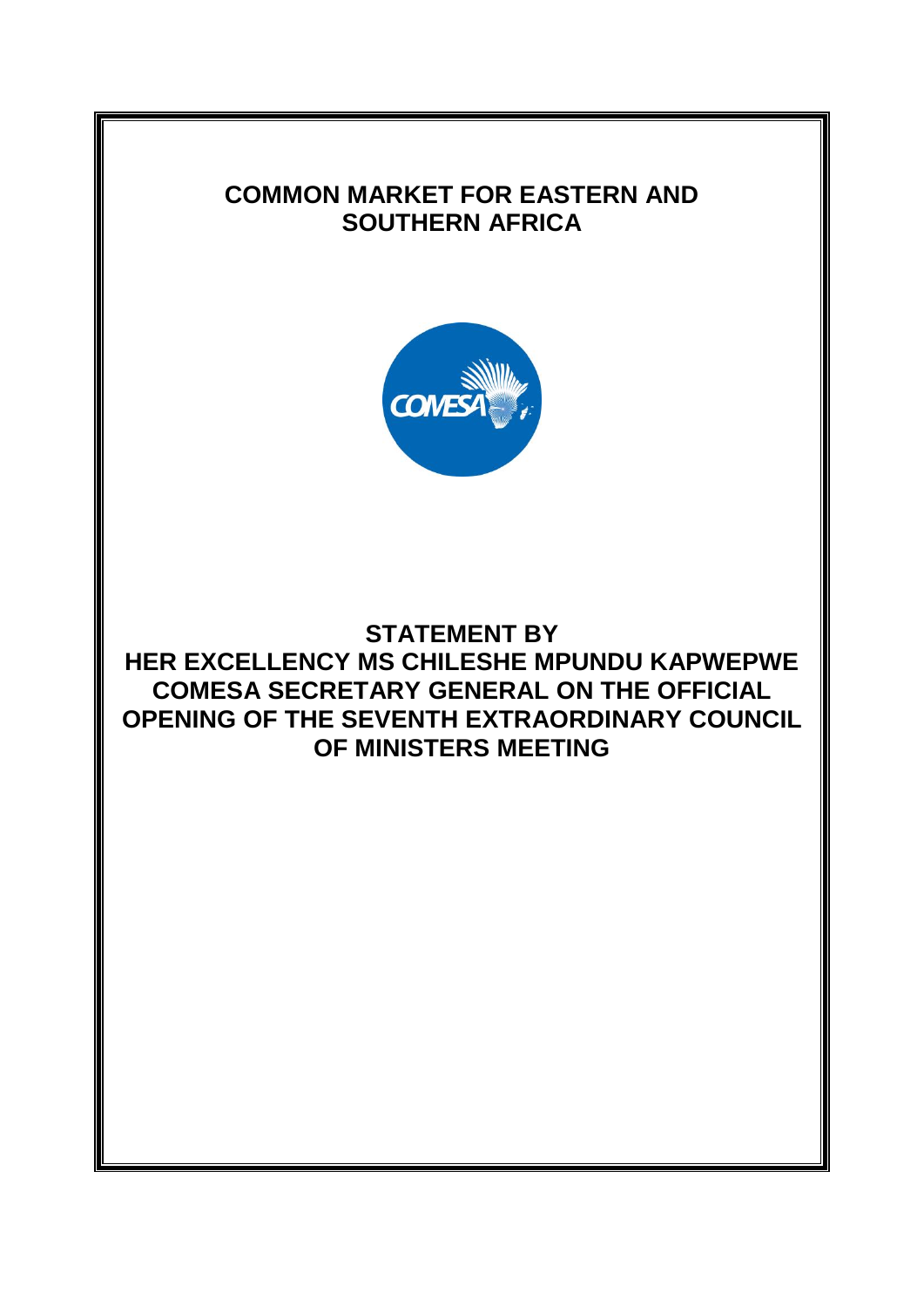## **COMMON MARKET FOR EASTERN AND SOUTHERN AFRICA**



## **STATEMENT BY HER EXCELLENCY MS CHILESHE MPUNDU KAPWEPWE COMESA SECRETARY GENERAL ON THE OFFICIAL OPENING OF THE SEVENTH EXTRAORDINARY COUNCIL OF MINISTERS MEETING**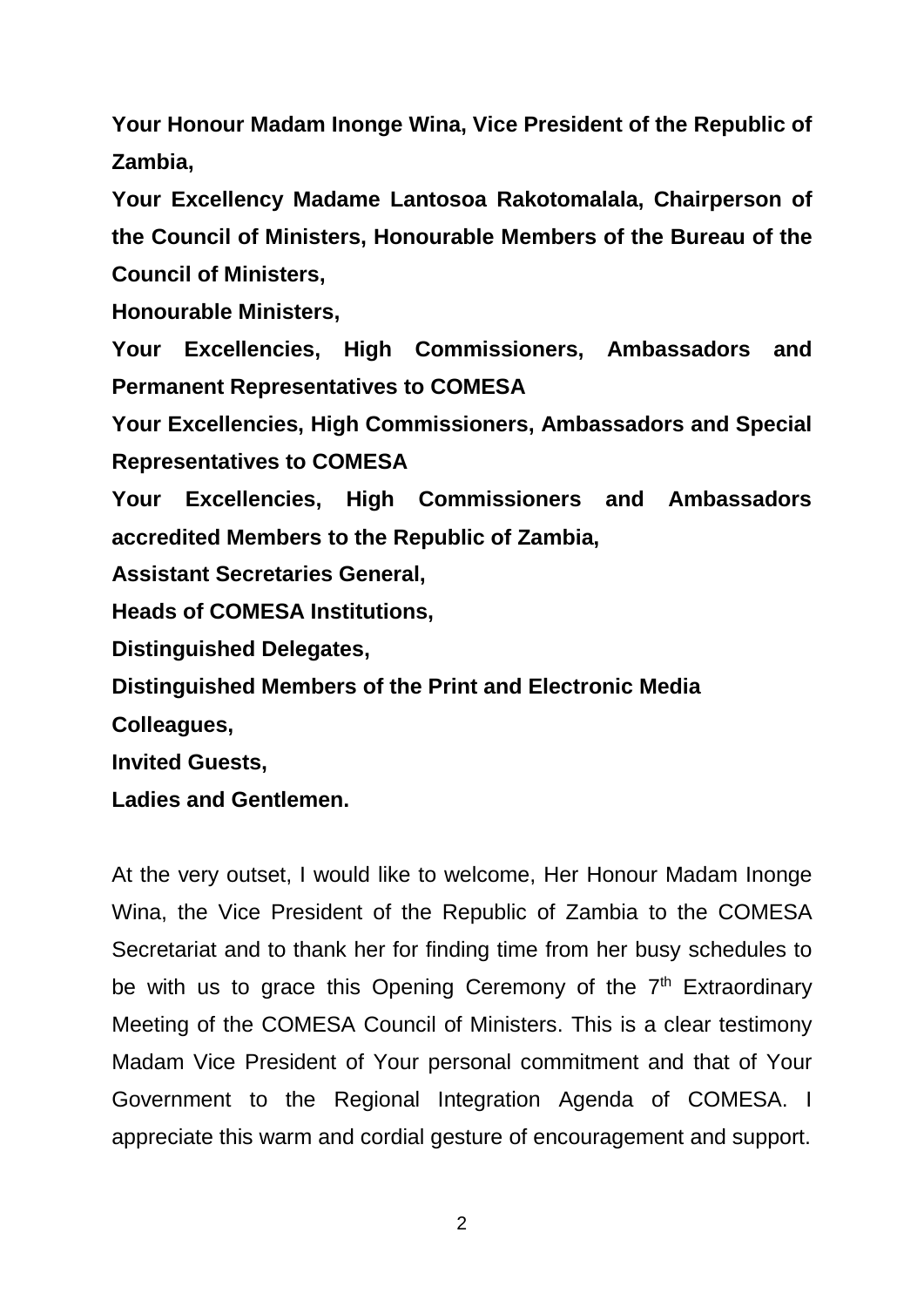**Your Honour Madam Inonge Wina, Vice President of the Republic of Zambia,** 

**Your Excellency Madame Lantosoa Rakotomalala, Chairperson of the Council of Ministers, Honourable Members of the Bureau of the Council of Ministers,**

**Honourable Ministers,**

**Your Excellencies, High Commissioners, Ambassadors and Permanent Representatives to COMESA** 

**Your Excellencies, High Commissioners, Ambassadors and Special Representatives to COMESA** 

**Your Excellencies, High Commissioners and Ambassadors accredited Members to the Republic of Zambia,**

**Assistant Secretaries General,**

**Heads of COMESA Institutions,**

**Distinguished Delegates,**

**Distinguished Members of the Print and Electronic Media** 

**Colleagues,**

**Invited Guests,**

**Ladies and Gentlemen.**

At the very outset, I would like to welcome, Her Honour Madam Inonge Wina, the Vice President of the Republic of Zambia to the COMESA Secretariat and to thank her for finding time from her busy schedules to be with us to grace this Opening Ceremony of the  $7<sup>th</sup>$  Extraordinary Meeting of the COMESA Council of Ministers. This is a clear testimony Madam Vice President of Your personal commitment and that of Your Government to the Regional Integration Agenda of COMESA. I appreciate this warm and cordial gesture of encouragement and support.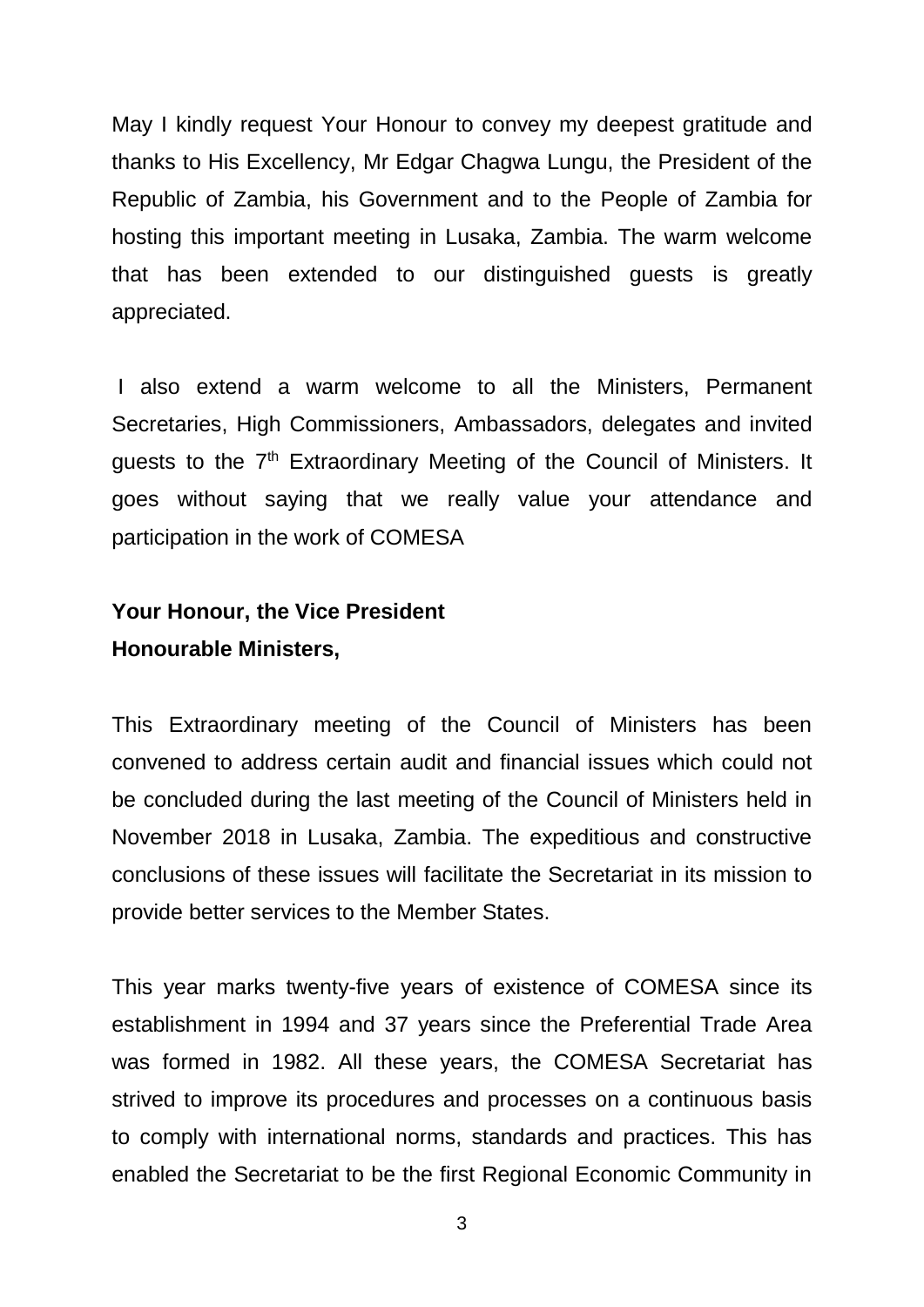May I kindly request Your Honour to convey my deepest gratitude and thanks to His Excellency, Mr Edgar Chagwa Lungu, the President of the Republic of Zambia, his Government and to the People of Zambia for hosting this important meeting in Lusaka, Zambia. The warm welcome that has been extended to our distinguished guests is greatly appreciated.

I also extend a warm welcome to all the Ministers, Permanent Secretaries, High Commissioners, Ambassadors, delegates and invited guests to the 7<sup>th</sup> Extraordinary Meeting of the Council of Ministers. It goes without saying that we really value your attendance and participation in the work of COMESA

## **Your Honour, the Vice President Honourable Ministers,**

This Extraordinary meeting of the Council of Ministers has been convened to address certain audit and financial issues which could not be concluded during the last meeting of the Council of Ministers held in November 2018 in Lusaka, Zambia. The expeditious and constructive conclusions of these issues will facilitate the Secretariat in its mission to provide better services to the Member States.

This year marks twenty-five years of existence of COMESA since its establishment in 1994 and 37 years since the Preferential Trade Area was formed in 1982. All these years, the COMESA Secretariat has strived to improve its procedures and processes on a continuous basis to comply with international norms, standards and practices. This has enabled the Secretariat to be the first Regional Economic Community in

3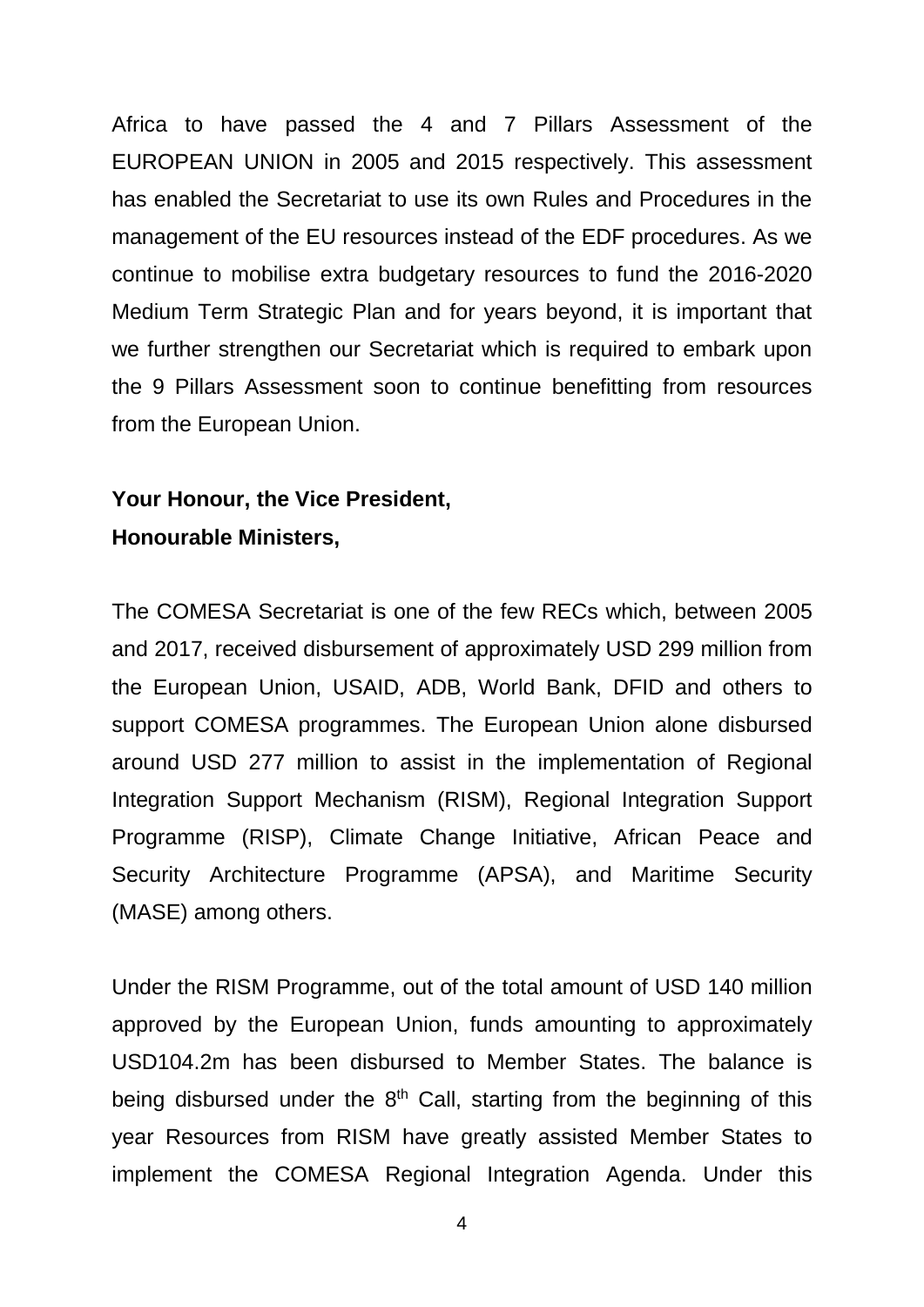Africa to have passed the 4 and 7 Pillars Assessment of the EUROPEAN UNION in 2005 and 2015 respectively. This assessment has enabled the Secretariat to use its own Rules and Procedures in the management of the EU resources instead of the EDF procedures. As we continue to mobilise extra budgetary resources to fund the 2016-2020 Medium Term Strategic Plan and for years beyond, it is important that we further strengthen our Secretariat which is required to embark upon the 9 Pillars Assessment soon to continue benefitting from resources from the European Union.

## **Your Honour, the Vice President, Honourable Ministers,**

The COMESA Secretariat is one of the few RECs which, between 2005 and 2017, received disbursement of approximately USD 299 million from the European Union, USAID, ADB, World Bank, DFID and others to support COMESA programmes. The European Union alone disbursed around USD 277 million to assist in the implementation of Regional Integration Support Mechanism (RISM), Regional Integration Support Programme (RISP), Climate Change Initiative, African Peace and Security Architecture Programme (APSA), and Maritime Security (MASE) among others.

Under the RISM Programme, out of the total amount of USD 140 million approved by the European Union, funds amounting to approximately USD104.2m has been disbursed to Member States. The balance is being disbursed under the  $8<sup>th</sup>$  Call, starting from the beginning of this year Resources from RISM have greatly assisted Member States to implement the COMESA Regional Integration Agenda. Under this

4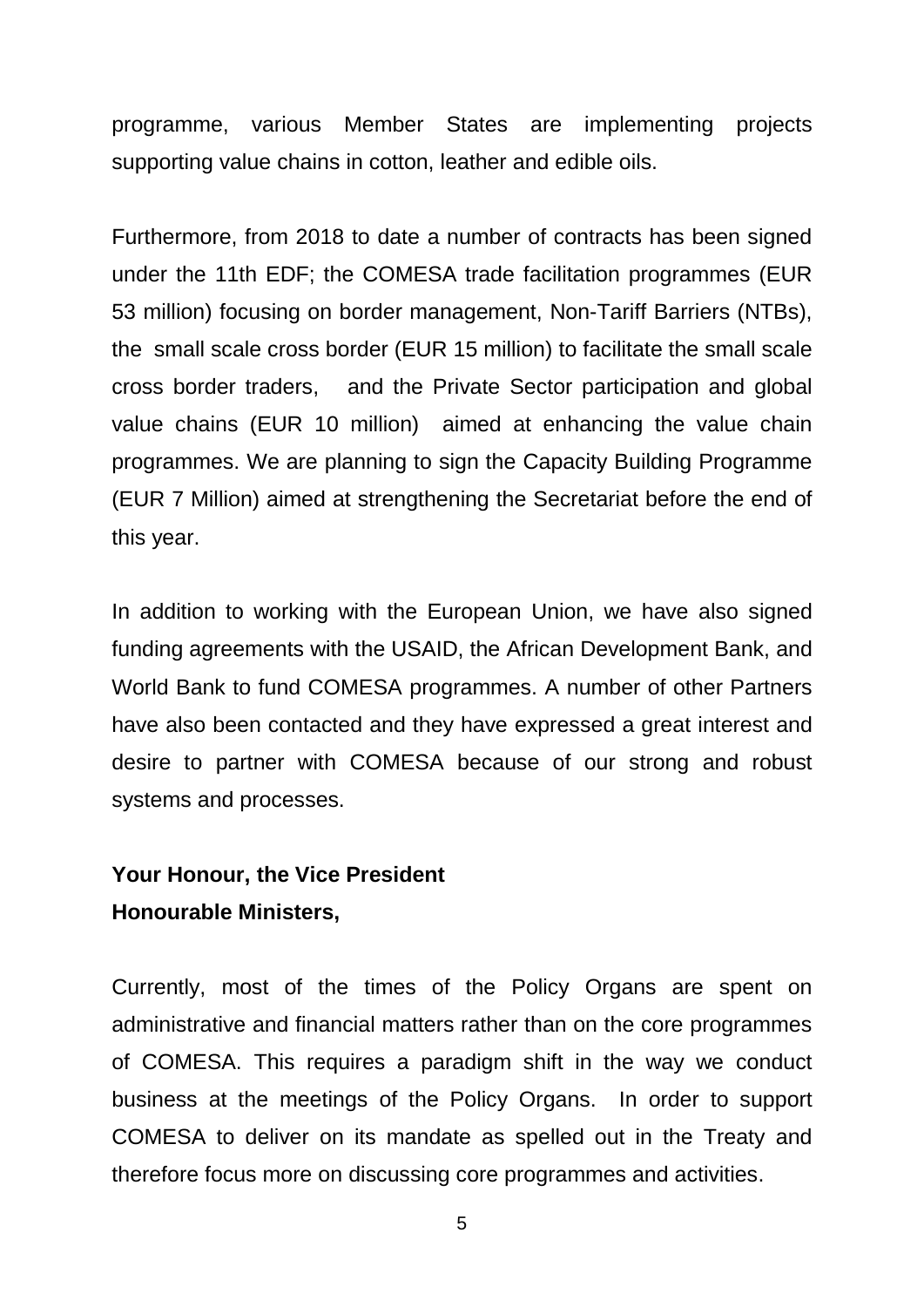programme, various Member States are implementing projects supporting value chains in cotton, leather and edible oils.

Furthermore, from 2018 to date a number of contracts has been signed under the 11th EDF; the COMESA trade facilitation programmes (EUR 53 million) focusing on border management, Non-Tariff Barriers (NTBs), the small scale cross border (EUR 15 million) to facilitate the small scale cross border traders, and the Private Sector participation and global value chains (EUR 10 million) aimed at enhancing the value chain programmes. We are planning to sign the Capacity Building Programme (EUR 7 Million) aimed at strengthening the Secretariat before the end of this year.

In addition to working with the European Union, we have also signed funding agreements with the USAID, the African Development Bank, and World Bank to fund COMESA programmes. A number of other Partners have also been contacted and they have expressed a great interest and desire to partner with COMESA because of our strong and robust systems and processes.

## **Your Honour, the Vice President Honourable Ministers,**

Currently, most of the times of the Policy Organs are spent on administrative and financial matters rather than on the core programmes of COMESA. This requires a paradigm shift in the way we conduct business at the meetings of the Policy Organs. In order to support COMESA to deliver on its mandate as spelled out in the Treaty and therefore focus more on discussing core programmes and activities.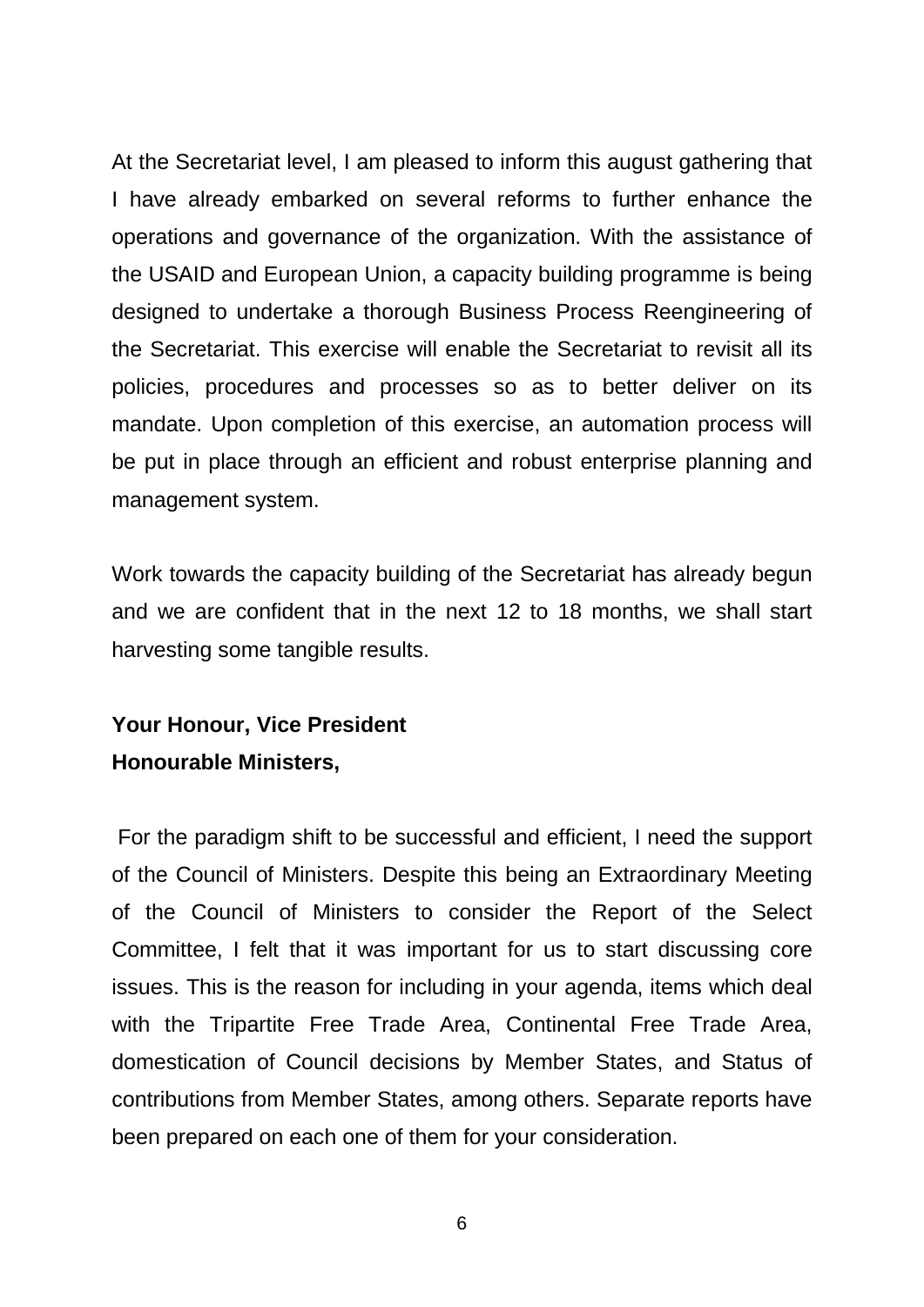At the Secretariat level, I am pleased to inform this august gathering that I have already embarked on several reforms to further enhance the operations and governance of the organization. With the assistance of the USAID and European Union, a capacity building programme is being designed to undertake a thorough Business Process Reengineering of the Secretariat. This exercise will enable the Secretariat to revisit all its policies, procedures and processes so as to better deliver on its mandate. Upon completion of this exercise, an automation process will be put in place through an efficient and robust enterprise planning and management system.

Work towards the capacity building of the Secretariat has already begun and we are confident that in the next 12 to 18 months, we shall start harvesting some tangible results.

# **Your Honour, Vice President Honourable Ministers,**

For the paradigm shift to be successful and efficient, I need the support of the Council of Ministers. Despite this being an Extraordinary Meeting of the Council of Ministers to consider the Report of the Select Committee, I felt that it was important for us to start discussing core issues. This is the reason for including in your agenda, items which deal with the Tripartite Free Trade Area, Continental Free Trade Area, domestication of Council decisions by Member States, and Status of contributions from Member States, among others. Separate reports have been prepared on each one of them for your consideration.

6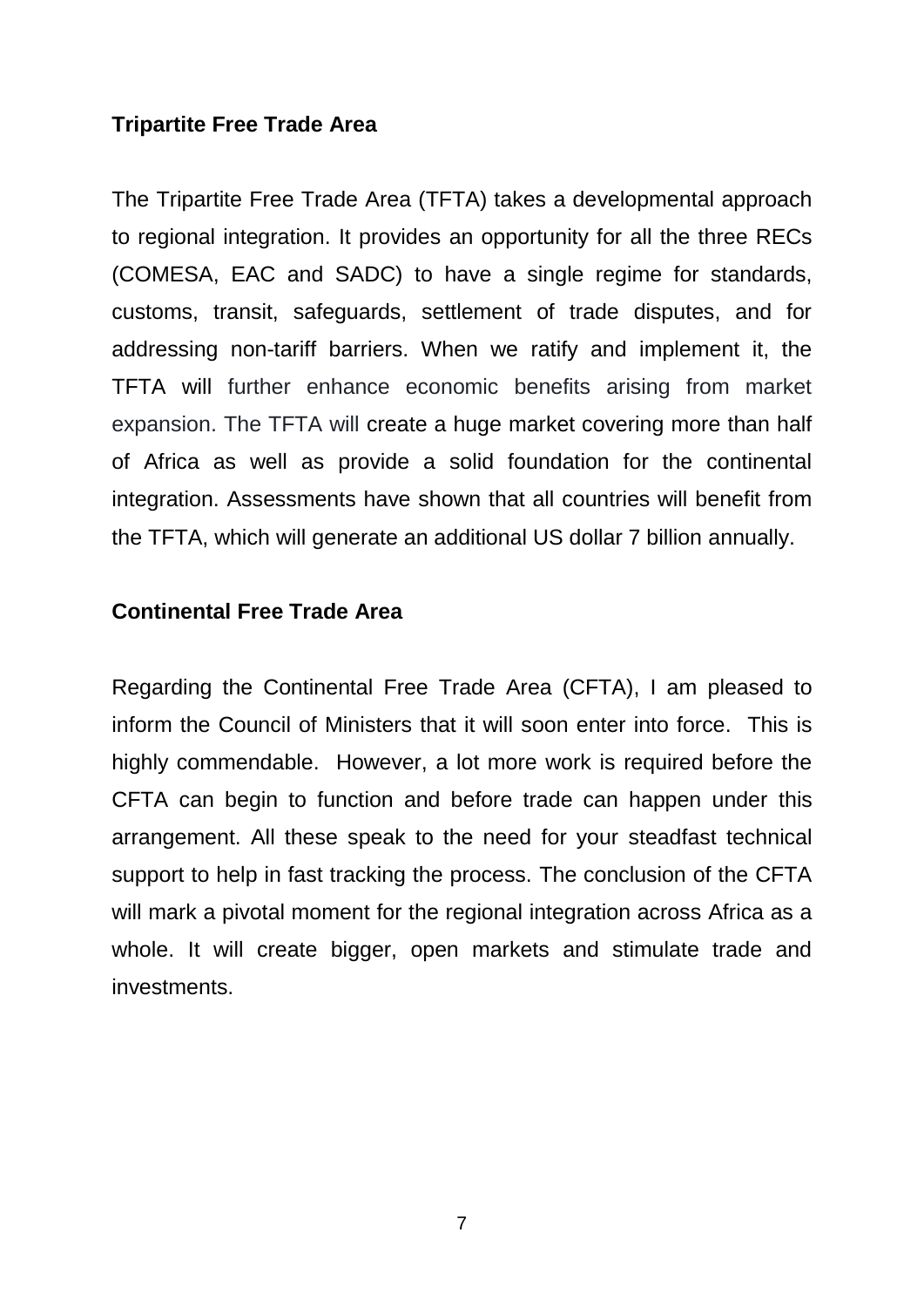### **Tripartite Free Trade Area**

The Tripartite Free Trade Area (TFTA) takes a developmental approach to regional integration. It provides an opportunity for all the three RECs (COMESA, EAC and SADC) to have a single regime for standards, customs, transit, safeguards, settlement of trade disputes, and for addressing non-tariff barriers. When we ratify and implement it, the TFTA will further enhance economic benefits arising from market expansion. The TFTA will create a huge market covering more than half of Africa as well as provide a solid foundation for the continental integration. Assessments have shown that all countries will benefit from the TFTA, which will generate an additional US dollar 7 billion annually.

#### **Continental Free Trade Area**

Regarding the Continental Free Trade Area (CFTA), I am pleased to inform the Council of Ministers that it will soon enter into force. This is highly commendable. However, a lot more work is required before the CFTA can begin to function and before trade can happen under this arrangement. All these speak to the need for your steadfast technical support to help in fast tracking the process. The conclusion of the CFTA will mark a pivotal moment for the regional integration across Africa as a whole. It will create bigger, open markets and stimulate trade and investments.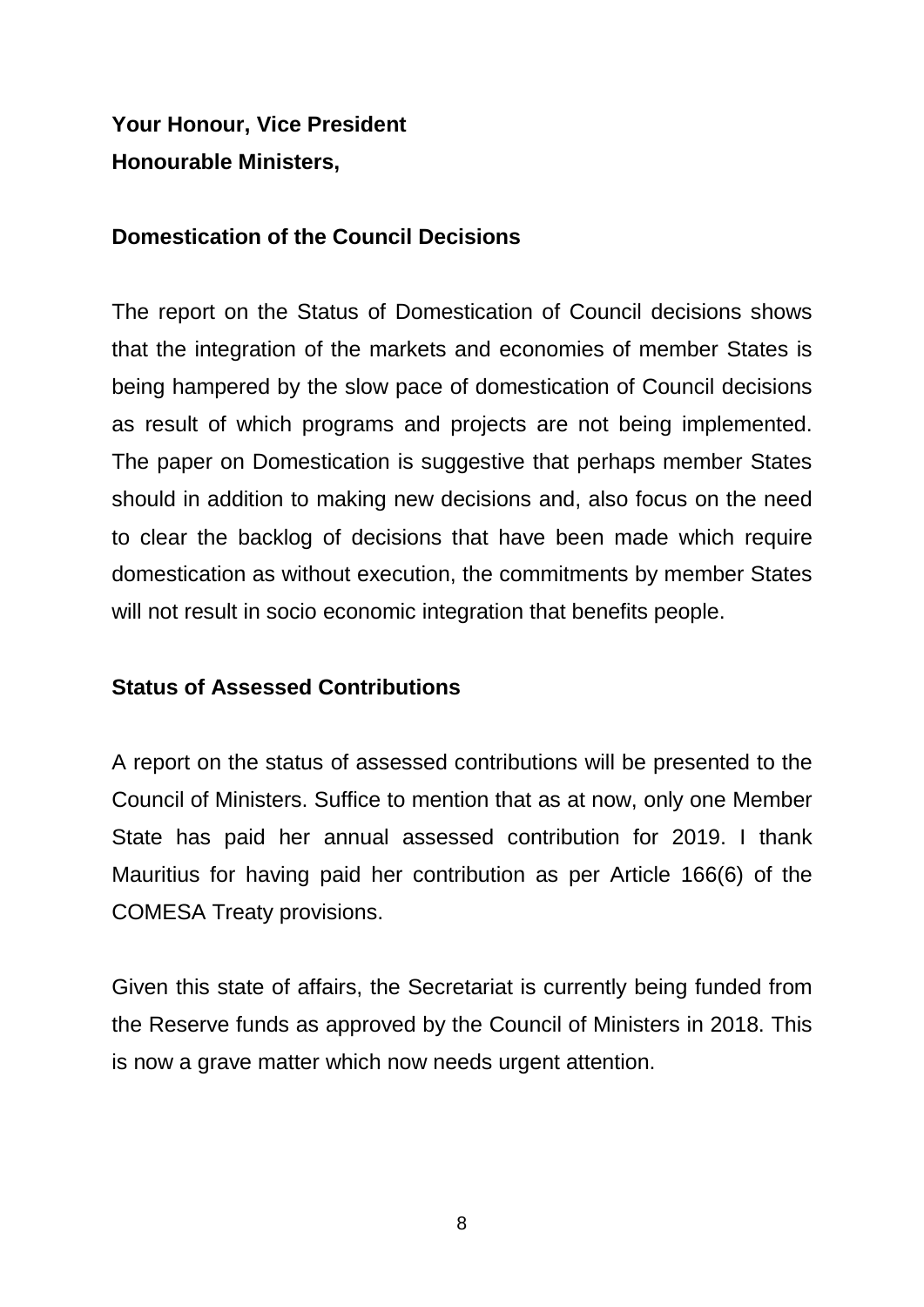**Your Honour, Vice President Honourable Ministers,**

#### **Domestication of the Council Decisions**

The report on the Status of Domestication of Council decisions shows that the integration of the markets and economies of member States is being hampered by the slow pace of domestication of Council decisions as result of which programs and projects are not being implemented. The paper on Domestication is suggestive that perhaps member States should in addition to making new decisions and, also focus on the need to clear the backlog of decisions that have been made which require domestication as without execution, the commitments by member States will not result in socio economic integration that benefits people.

### **Status of Assessed Contributions**

A report on the status of assessed contributions will be presented to the Council of Ministers. Suffice to mention that as at now, only one Member State has paid her annual assessed contribution for 2019. I thank Mauritius for having paid her contribution as per Article 166(6) of the COMESA Treaty provisions.

Given this state of affairs, the Secretariat is currently being funded from the Reserve funds as approved by the Council of Ministers in 2018. This is now a grave matter which now needs urgent attention.